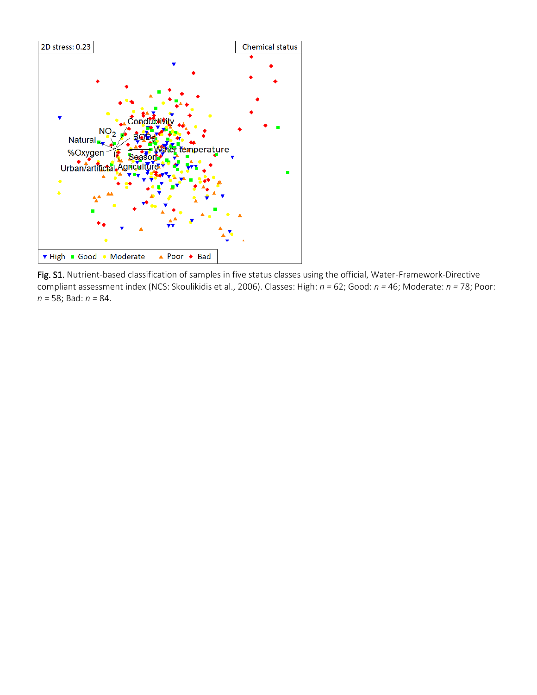

Fig. S1. Nutrient-based classification of samples in five status classes using the official, Water-Framework-Directive compliant assessment index (NCS: Skoulikidis et al., 2006). Classes: High: *n =* 62; Good: *n =* 46; Moderate: *n =* 78; Poor: *n =* 58; Bad: *n =* 84.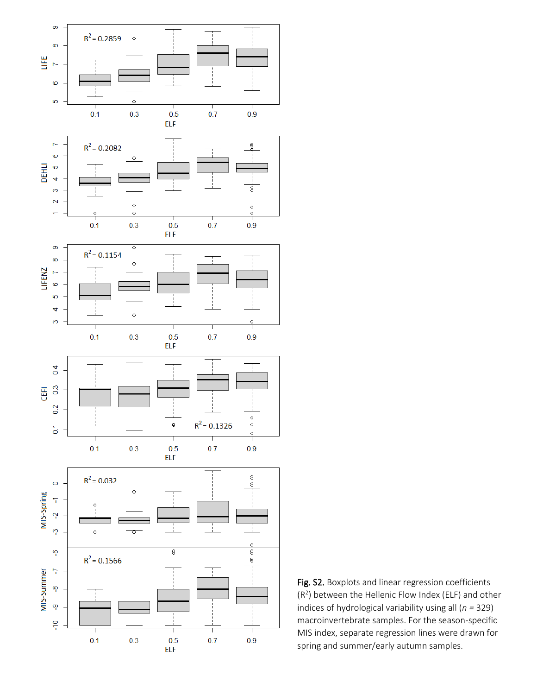

Fig. S2. Boxplots and linear regression coefficients (R<sup>2</sup> ) between the Hellenic Flow Index (ELF) and other indices of hydrological variability using all (*n =* 329) macroinvertebrate samples. For the season-specific MIS index, separate regression lines were drawn for spring and summer/early autumn samples.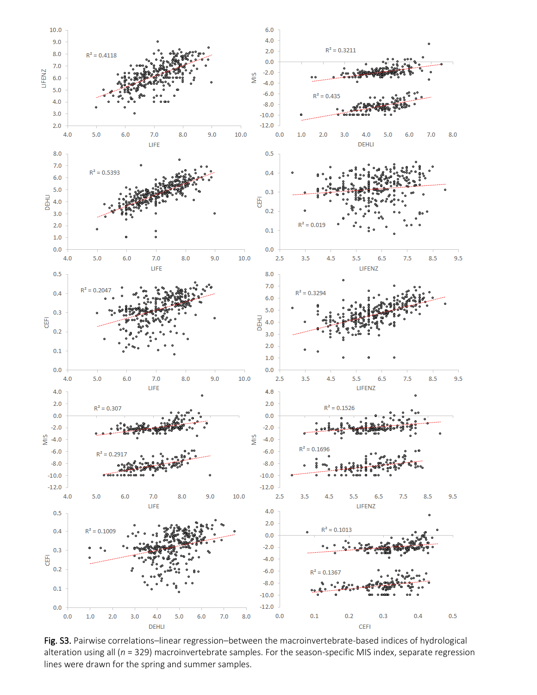

Fig. S3. Pairwise correlations-linear regression-between the macroinvertebrate-based indices of hydrological alteration using all (*n* = 329) macroinvertebrate samples. For the season-specific MIS index, separate regression lines were drawn for the spring and summer samples.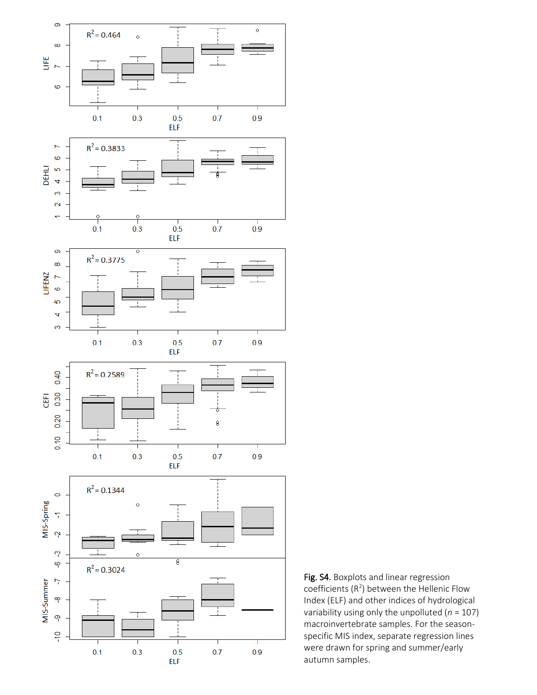

Fig. S4. Boxplots and linear regression coefficients  $(R^2)$  between the Hellenic Flow Index (ELF) and other indices of hydrological variability using only the unpolluted (*n* = 107) macroinvertebrate samples. For the seasonspecific MIS index, separate regression lines were drawn for spring and summer/early autumn samples.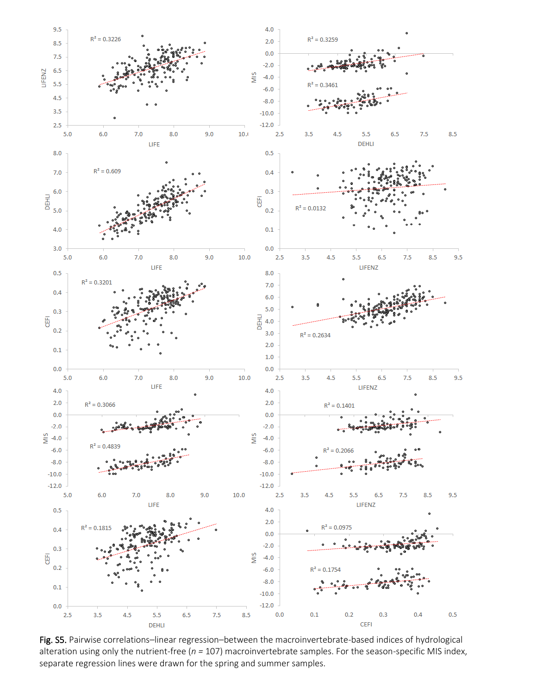

Fig. S5. Pairwise correlations-linear regression-between the macroinvertebrate-based indices of hydrological alteration using only the nutrient-free (*n =* 107) macroinvertebrate samples. For the season-specific MIS index, separate regression lines were drawn for the spring and summer samples.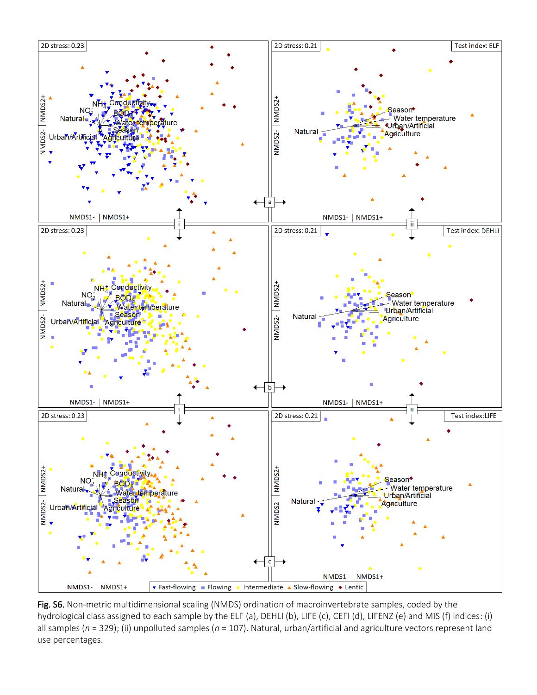

Fig. S6. Non-metric multidimensional scaling (NMDS) ordination of macroinvertebrate samples, coded by the hydrological class assigned to each sample by the ELF (a), DEHLI (b), LIFE (c), CEFI (d), LIFENZ (e) and MIS (f) indices: (i) all samples (*n* = 329); (ii) unpolluted samples (*n* = 107). Natural, urban/artificial and agriculture vectors represent land use percentages.